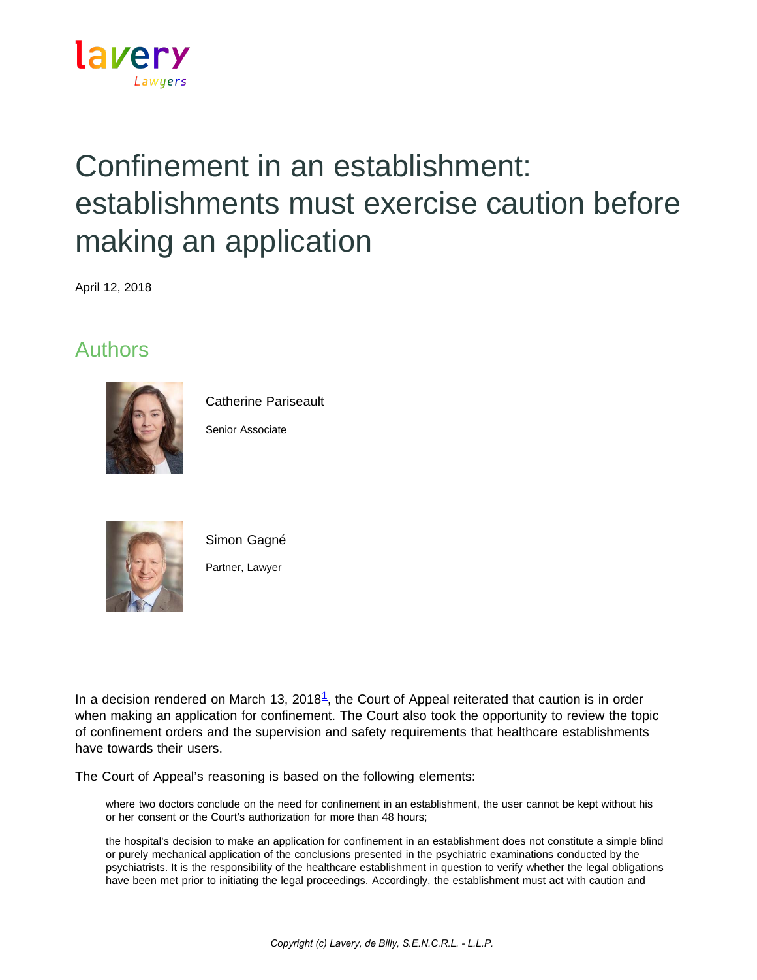

## Confinement in an establishment: establishments must exercise caution before making an application

April 12, 2018

## Authors



Catherine Pariseault

Senior Associate



Simon Gagné Partner, Lawyer

In a decision rendered on March [1](https://www.lavery.ca/en/publications/our-publications/3081-confinement-in-an-establishment-establishments-must-exercise-caution-before-making-an-application.html?page=1&MotCle=&affaireInter=0&BulletinId=0&SecteurId=0-0&profilId=0&dateMinimal=1900-01-01#01)3, 2018 $<sup>1</sup>$ , the Court of Appeal reiterated that caution is in order</sup> when making an application for confinement. The Court also took the opportunity to review the topic of confinement orders and the supervision and safety requirements that healthcare establishments have towards their users.

The Court of Appeal's reasoning is based on the following elements:

where two doctors conclude on the need for confinement in an establishment, the user cannot be kept without his or her consent or the Court's authorization for more than 48 hours;

the hospital's decision to make an application for confinement in an establishment does not constitute a simple blind or purely mechanical application of the conclusions presented in the psychiatric examinations conducted by the psychiatrists. It is the responsibility of the healthcare establishment in question to verify whether the legal obligations have been met prior to initiating the legal proceedings. Accordingly, the establishment must act with caution and